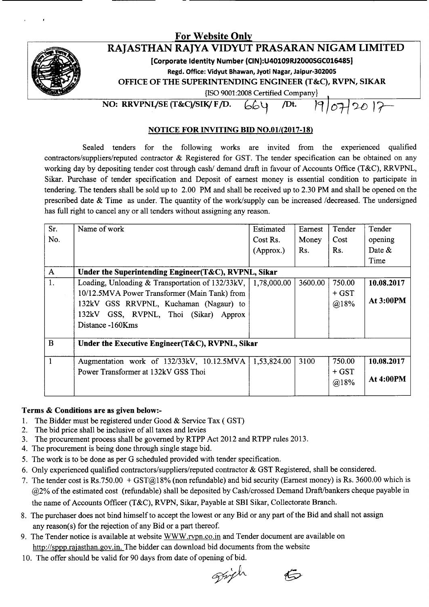## **For Website Onl**



# **RAJASTHAN RAJYA VIDYUT PRASARAN NIGAM LIMITED**

**[Corporate Identity Number (CIN):U40109RJ2000SGC016485]**

**Regd. Office: Vidyut Bhawan, Jyoti Nagar, Jaipur-30200S**

**OFFICE OF THE SUPERINTENDING ENGINEER (T&C), RVPN, SIKAR**

{ISO9001:2008 Certified Company}

**NO: RRVPNL/SE** (T&C)/SIK/ **F**/D. 664 /Dt.  $12017$ 

### **NOTICE FOR INVITING BID NO.01l(2017-18)**

Sealed tenders for the following works are invited from the experienced qualified contractors/suppliers/reputed contractor & Registered for GST. The tender specification can be obtained on any working day by depositing tender cost through cash/ demand draft in favour of Accounts Office (T&C), RRVPNL, Sikar. Purchase of tender specification and Deposit of earnest money is essential condition to participate in tendering. The tenders shall be sold up to 2.00 PM and shall be received up to 2.30 PM and shall be opened on the prescribed date & Time as under. The quantity of the work/supply can be increased /decreased. The undersigned has full right to cancel any or all tenders without assigning any reason.

| Sr.          | Name of work                                          | Estimated   | Earnest | Tender  | Tender           |
|--------------|-------------------------------------------------------|-------------|---------|---------|------------------|
| No.          |                                                       | Cost Rs.    | Money   | Cost    | opening          |
|              |                                                       | (Approx.)   | Rs.     | Rs.     | Date $\&$        |
|              |                                                       |             |         |         | Time             |
| $\mathbf{A}$ | Under the Superintending Engineer (T&C), RVPNL, Sikar |             |         |         |                  |
| 1.           | Loading, Unloading & Transportation of 132/33kV,      | 1,78,000.00 | 3600.00 | 750.00  | 10.08.2017       |
|              | 10/12.5MVA Power Transformer (Main Tank) from         |             |         | $+$ GST |                  |
|              | 132kV GSS RRVPNL, Kuchaman (Nagaur) to                |             |         | @18%    | <b>At 3:00PM</b> |
|              | 132kV GSS, RVPNL, Thoi (Sikar) Approx                 |             |         |         |                  |
|              | Distance -160Kms                                      |             |         |         |                  |
|              |                                                       |             |         |         |                  |
| B            | Under the Executive Engineer(T&C), RVPNL, Sikar       |             |         |         |                  |
| 1            | Augmentation work of 132/33kV, 10.12.5MVA             | 1,53,824.00 | 3100    | 750.00  | 10.08.2017       |
|              | Power Transformer at 132kV GSS Thoi                   |             |         | $+$ GST |                  |
|              |                                                       |             |         | @18%    | At 4:00PM        |
|              |                                                       |             |         |         |                  |

#### **Terms & Conditions are as given below:-**

- 1. The Bidder must be registered under Good & Service Tax ( GST)
- 2. The bid price shall be inclusive of all taxes and levies
- 3. The procurement process shall be governed by RTPP Act 2012 and RTPP rules 2013.
- 4. The procurement is being done through single stage bid.
- 5. The work is to be done as per G scheduled provided with tender specification.
- 6. Only experienced qualified contractors/suppliers/reputed contractor & GST Registered, shall be considered.
- 7. The tender cost is Rs.750.00 + GST@18% (non refundable) and bid security (Earnest money) is Rs. 3600.00 which is @2% of the estimated cost (refundable) shall be deposited by Cash/crossed Demand Draft/bankers cheque payable in the name of Accounts Officer (T&C), RVPN, Sikar, Payable at SBI Sikar, Collectorate Branch.
- 8. The purchaser does not bind himself to accept the lowest or any Bid or any part of the Bid and shall not assign any reason(s) for the rejection of any Bid or a part thereof.
- 9. The Tender notice is available at website WWW.rypn.co.in and Tender document are available on http://sppp.rajasthan.gov.in. The bidder can download bid documents from the website
- 10. The offer should be valid for 90 days from date of opening of bid.

grifh